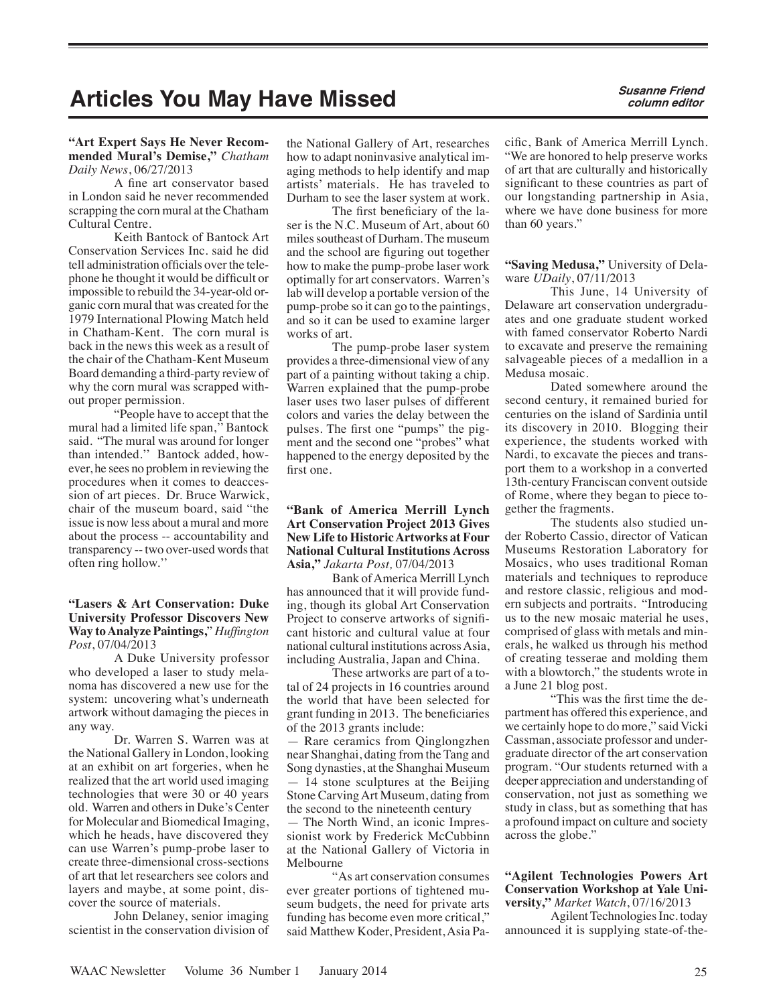# Articles You May Have Missed **Susanne Friend**

#### **"Art Expert Says He Never Recommended Mural's Demise,"** *Chatham Daily News*, 06/27/2013

A fine art conservator based in London said he never recommended scrapping the corn mural at the Chatham Cultural Centre.

Keith Bantock of Bantock Art Conservation Services Inc. said he did tell administration officials over the telephone he thought it would be difficult or impossible to rebuild the 34-year-old organic corn mural that was created for the 1979 International Plowing Match held in Chatham-Kent. The corn mural is back in the news this week as a result of the chair of the Chatham-Kent Museum Board demanding a third-party review of why the corn mural was scrapped without proper permission.

"People have to accept that the mural had a limited life span,'' Bantock said. "The mural was around for longer than intended.'' Bantock added, however, he sees no problem in reviewing the procedures when it comes to deaccession of art pieces. Dr. Bruce Warwick, chair of the museum board, said "the issue is now less about a mural and more about the process -- accountability and transparency -- two over-used words that often ring hollow.''

### **"Lasers & Art Conservation: Duke University Professor Discovers New Way to Analyze Paintings,**" *Huffington Post*, 07/04/2013

A Duke University professor who developed a laser to study melanoma has discovered a new use for the system: uncovering what's underneath artwork without damaging the pieces in any way.

Dr. Warren S. Warren was at the National Gallery in London, looking at an exhibit on art forgeries, when he realized that the art world used imaging technologies that were 30 or 40 years old. Warren and others in Duke's Center for Molecular and Biomedical Imaging, which he heads, have discovered they can use Warren's pump-probe laser to create three-dimensional cross-sections of art that let researchers see colors and layers and maybe, at some point, discover the source of materials.

John Delaney, senior imaging scientist in the conservation division of

the National Gallery of Art, researches how to adapt noninvasive analytical imaging methods to help identify and map artists' materials. He has traveled to Durham to see the laser system at work.

The first beneficiary of the laser is the N.C. Museum of Art, about 60 miles southeast of Durham. The museum and the school are figuring out together how to make the pump-probe laser work optimally for art conservators. Warren's lab will develop a portable version of the pump-probe so it can go to the paintings, and so it can be used to examine larger works of art.

The pump-probe laser system provides a three-dimensional view of any part of a painting without taking a chip. Warren explained that the pump-probe laser uses two laser pulses of different colors and varies the delay between the pulses. The first one "pumps" the pigment and the second one "probes" what happened to the energy deposited by the first one.

#### **"Bank of America Merrill Lynch Art Conservation Project 2013 Gives New Life to Historic Artworks at Four National Cultural Institutions Across Asia,"** *Jakarta Post,* 07/04/2013

Bank of America Merrill Lynch has announced that it will provide funding, though its global Art Conservation Project to conserve artworks of significant historic and cultural value at four national cultural institutions across Asia, including Australia, Japan and China.

These artworks are part of a total of 24 projects in 16 countries around the world that have been selected for grant funding in 2013. The beneficiaries of the 2013 grants include:

Rare ceramics from Qinglongzhen near Shanghai, dating from the Tang and Song dynasties, at the Shanghai Museum — 14 stone sculptures at the Beijing Stone Carving Art Museum, dating from the second to the nineteenth century

— The North Wind, an iconic Impressionist work by Frederick McCubbinn at the National Gallery of Victoria in Melbourne

"As art conservation consumes ever greater portions of tightened museum budgets, the need for private arts funding has become even more critical," said Matthew Koder, President, Asia Pacific, Bank of America Merrill Lynch. "We are honored to help preserve works of art that are culturally and historically significant to these countries as part of our longstanding partnership in Asia, where we have done business for more than 60 years."

**"Saving Medusa,"** University of Delaware *UDaily*, 07/11/2013

This June, 14 University of Delaware art conservation undergraduates and one graduate student worked with famed conservator Roberto Nardi to excavate and preserve the remaining salvageable pieces of a medallion in a Medusa mosaic.

Dated somewhere around the second century, it remained buried for centuries on the island of Sardinia until its discovery in 2010. Blogging their experience, the students worked with Nardi, to excavate the pieces and transport them to a workshop in a converted 13th-century Franciscan convent outside of Rome, where they began to piece together the fragments.

The students also studied under Roberto Cassio, director of Vatican Museums Restoration Laboratory for Mosaics, who uses traditional Roman materials and techniques to reproduce and restore classic, religious and modern subjects and portraits. "Introducing us to the new mosaic material he uses, comprised of glass with metals and minerals, he walked us through his method of creating tesserae and molding them with a blowtorch," the students wrote in a June 21 blog post.

"This was the first time the department has offered this experience, and we certainly hope to do more," said Vicki Cassman, associate professor and undergraduate director of the art conservation program. "Our students returned with a deeper appreciation and understanding of conservation, not just as something we study in class, but as something that has a profound impact on culture and society across the globe."

#### **"Agilent Technologies Powers Art Conservation Workshop at Yale University,"** *Market Watch*, 07/16/2013

Agilent Technologies Inc. today announced it is supplying state-of-the-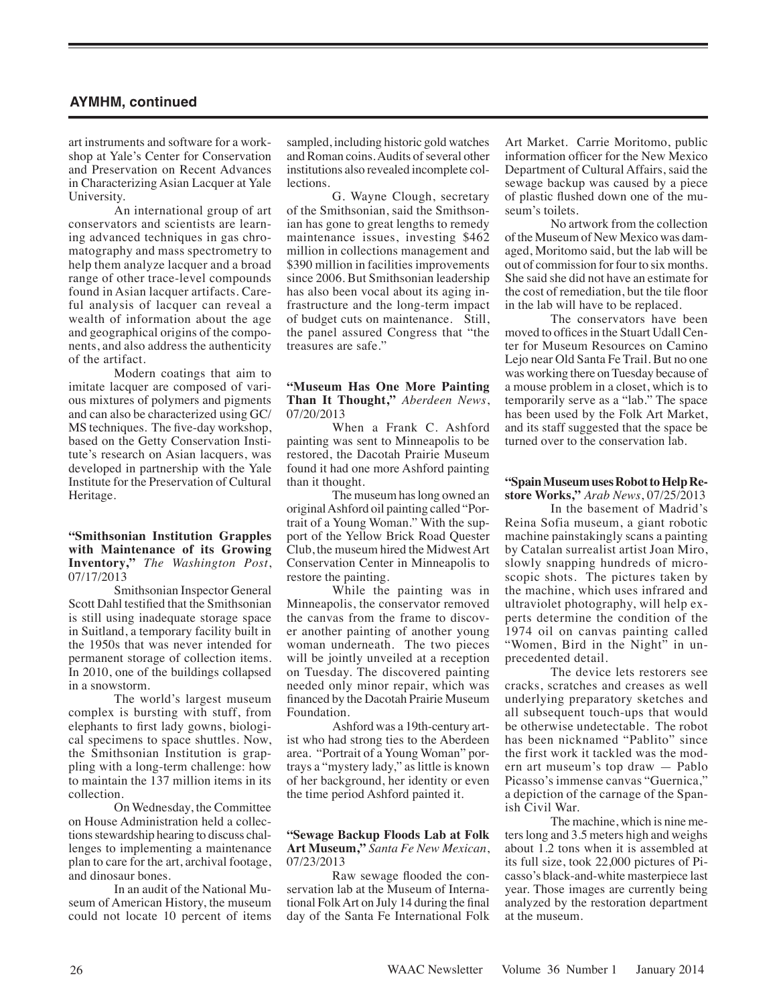# **AYMHM, continued**

art instruments and software for a workshop at Yale's Center for Conservation and Preservation on Recent Advances in Characterizing Asian Lacquer at Yale University.

An international group of art conservators and scientists are learning advanced techniques in gas chromatography and mass spectrometry to help them analyze lacquer and a broad range of other trace-level compounds found in Asian lacquer artifacts. Careful analysis of lacquer can reveal a wealth of information about the age and geographical origins of the components, and also address the authenticity of the artifact.

Modern coatings that aim to imitate lacquer are composed of various mixtures of polymers and pigments and can also be characterized using GC/ MS techniques. The five-day workshop, based on the Getty Conservation Institute's research on Asian lacquers, was developed in partnership with the Yale Institute for the Preservation of Cultural Heritage.

#### **"Smithsonian Institution Grapples with Maintenance of its Growing Inventory,"** *The Washington Post*, 07/17/2013

Smithsonian Inspector General Scott Dahl testified that the Smithsonian is still using inadequate storage space in Suitland, a temporary facility built in the 1950s that was never intended for permanent storage of collection items. In 2010, one of the buildings collapsed in a snowstorm.

The world's largest museum complex is bursting with stuff, from elephants to first lady gowns, biological specimens to space shuttles. Now, the Smithsonian Institution is grappling with a long-term challenge: how to maintain the 137 million items in its collection.

On Wednesday, the Committee on House Administration held a collections stewardship hearing to discuss challenges to implementing a maintenance plan to care for the art, archival footage, and dinosaur bones.

In an audit of the National Museum of American History, the museum could not locate 10 percent of items sampled, including historic gold watches and Roman coins. Audits of several other institutions also revealed incomplete collections.

G. Wayne Clough, secretary of the Smithsonian, said the Smithsonian has gone to great lengths to remedy maintenance issues, investing \$462 million in collections management and \$390 million in facilities improvements since 2006. But Smithsonian leadership has also been vocal about its aging infrastructure and the long-term impact of budget cuts on maintenance. Still, the panel assured Congress that "the treasures are safe."

#### **"Museum Has One More Painting Than It Thought,"** *Aberdeen News*, 07/20/2013

When a Frank C. Ashford painting was sent to Minneapolis to be restored, the Dacotah Prairie Museum found it had one more Ashford painting than it thought.

The museum has long owned an original Ashford oil painting called "Portrait of a Young Woman." With the support of the Yellow Brick Road Quester Club, the museum hired the Midwest Art Conservation Center in Minneapolis to restore the painting.

While the painting was in Minneapolis, the conservator removed the canvas from the frame to discover another painting of another young woman underneath. The two pieces will be jointly unveiled at a reception on Tuesday. The discovered painting needed only minor repair, which was financed by the Dacotah Prairie Museum Foundation.

Ashford was a 19th-century artist who had strong ties to the Aberdeen area. "Portrait of a Young Woman" portrays a "mystery lady," as little is known of her background, her identity or even the time period Ashford painted it.

#### **"Sewage Backup Floods Lab at Folk Art Museum,"** *Santa Fe New Mexican*, 07/23/2013

Raw sewage flooded the conservation lab at the Museum of International Folk Art on July 14 during the final day of the Santa Fe International Folk Art Market. Carrie Moritomo, public information officer for the New Mexico Department of Cultural Affairs, said the sewage backup was caused by a piece of plastic flushed down one of the museum's toilets.

No artwork from the collection of the Museum of New Mexico was damaged, Moritomo said, but the lab will be out of commission for four to six months. She said she did not have an estimate for the cost of remediation, but the tile floor in the lab will have to be replaced.

The conservators have been moved to offices in the Stuart Udall Center for Museum Resources on Camino Lejo near Old Santa Fe Trail. But no one was working there on Tuesday because of a mouse problem in a closet, which is to temporarily serve as a "lab." The space has been used by the Folk Art Market, and its staff suggested that the space be turned over to the conservation lab.

## **"Spain Museum uses Robot to Help Restore Works,"** *Arab News*, 07/25/2013

In the basement of Madrid's Reina Sofia museum, a giant robotic machine painstakingly scans a painting by Catalan surrealist artist Joan Miro, slowly snapping hundreds of microscopic shots. The pictures taken by the machine, which uses infrared and ultraviolet photography, will help experts determine the condition of the 1974 oil on canvas painting called "Women, Bird in the Night" in unprecedented detail.

The device lets restorers see cracks, scratches and creases as well underlying preparatory sketches and all subsequent touch-ups that would be otherwise undetectable. The robot has been nicknamed "Pablito" since the first work it tackled was the modern art museum's top draw — Pablo Picasso's immense canvas "Guernica," a depiction of the carnage of the Spanish Civil War.

The machine, which is nine meters long and 3.5 meters high and weighs about 1.2 tons when it is assembled at its full size, took 22,000 pictures of Picasso's black-and-white masterpiece last year. Those images are currently being analyzed by the restoration department at the museum.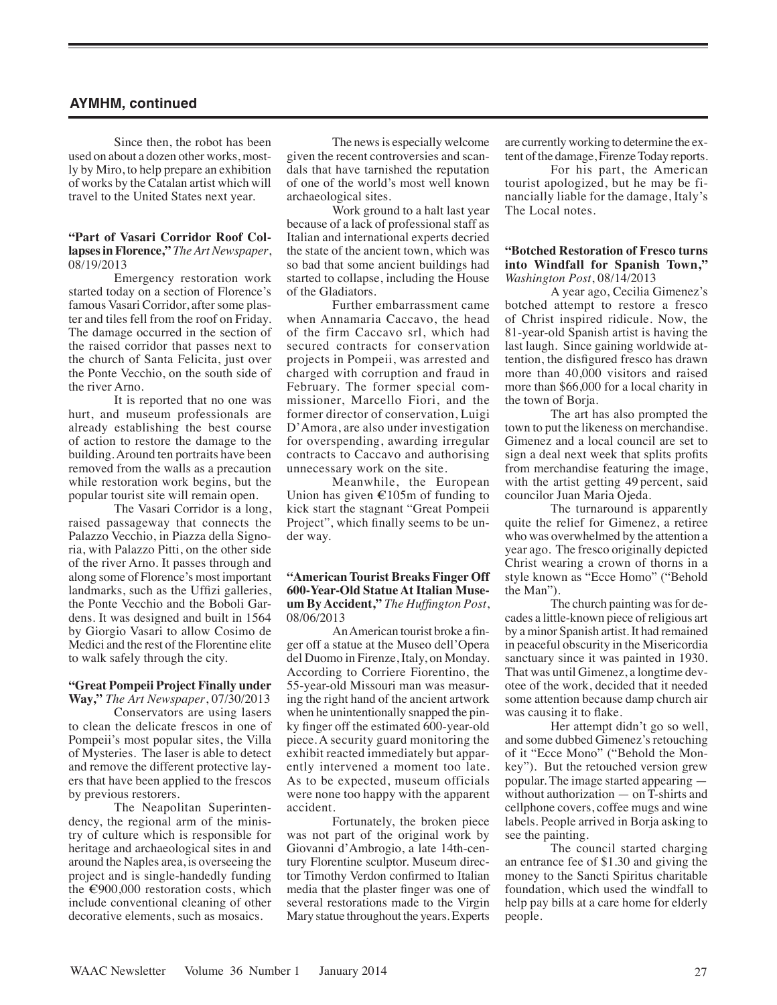# **AYMHM, continued**

Since then, the robot has been used on about a dozen other works, mostly by Miro, to help prepare an exhibition of works by the Catalan artist which will travel to the United States next year.

#### **"Part of Vasari Corridor Roof Collapses in Florence,"** *The Art Newspaper*, 08/19/2013

Emergency restoration work started today on a section of Florence's famous Vasari Corridor, after some plaster and tiles fell from the roof on Friday. The damage occurred in the section of the raised corridor that passes next to the church of Santa Felicita, just over the Ponte Vecchio, on the south side of the river Arno.

It is reported that no one was hurt, and museum professionals are already establishing the best course of action to restore the damage to the building. Around ten portraits have been removed from the walls as a precaution while restoration work begins, but the popular tourist site will remain open.

The Vasari Corridor is a long, raised passageway that connects the Palazzo Vecchio, in Piazza della Signoria, with Palazzo Pitti, on the other side of the river Arno. It passes through and along some of Florence's most important landmarks, such as the Uffizi galleries, the Ponte Vecchio and the Boboli Gardens. It was designed and built in 1564 by Giorgio Vasari to allow Cosimo de Medici and the rest of the Florentine elite to walk safely through the city.

#### **"Great Pompeii Project Finally under Way,"** *The Art Newspaper*, 07/30/2013

Conservators are using lasers to clean the delicate frescos in one of Pompeii's most popular sites, the Villa of Mysteries. The laser is able to detect and remove the different protective layers that have been applied to the frescos by previous restorers.

The Neapolitan Superintendency, the regional arm of the ministry of culture which is responsible for heritage and archaeological sites in and around the Naples area, is overseeing the project and is single-handedly funding the  $\epsilon$ 900,000 restoration costs, which include conventional cleaning of other decorative elements, such as mosaics.

The news is especially welcome given the recent controversies and scandals that have tarnished the reputation of one of the world's most well known archaeological sites.

Work ground to a halt last year because of a lack of professional staff as Italian and international experts decried the state of the ancient town, which was so bad that some ancient buildings had started to collapse, including the House of the Gladiators.

Further embarrassment came when Annamaria Caccavo, the head of the firm Caccavo srl, which had secured contracts for conservation projects in Pompeii, was arrested and charged with corruption and fraud in February. The former special commissioner, Marcello Fiori, and the former director of conservation, Luigi D'Amora, are also under investigation for overspending, awarding irregular contracts to Caccavo and authorising unnecessary work on the site.

Meanwhile, the European Union has given  $\epsilon$ 105m of funding to kick start the stagnant "Great Pompeii Project", which finally seems to be under way.

#### **"American Tourist Breaks Finger Off 600-Year-Old Statue At Italian Museum By Accident,"** *The Huffington Post*, 08/06/2013

An American tourist broke a finger off a statue at the Museo dell'Opera del Duomo in Firenze, Italy, on Monday. According to Corriere Fiorentino, the 55-year-old Missouri man was measuring the right hand of the ancient artwork when he unintentionally snapped the pinky finger off the estimated 600-year-old piece. A security guard monitoring the exhibit reacted immediately but apparently intervened a moment too late. As to be expected, museum officials were none too happy with the apparent accident.

Fortunately, the broken piece was not part of the original work by Giovanni d'Ambrogio, a late 14th-century Florentine sculptor. Museum director Timothy Verdon confirmed to Italian media that the plaster finger was one of several restorations made to the Virgin Mary statue throughout the years. Experts are currently working to determine the extent of the damage, Firenze Today reports.

For his part, the American tourist apologized, but he may be financially liable for the damage, Italy's The Local notes.

#### **"Botched Restoration of Fresco turns into Windfall for Spanish Town,"** *Washington Post*, 08/14/2013

A year ago, Cecilia Gimenez's botched attempt to restore a fresco of Christ inspired ridicule. Now, the 81-year-old Spanish artist is having the last laugh. Since gaining worldwide attention, the disfigured fresco has drawn more than 40,000 visitors and raised more than \$66,000 for a local charity in the town of Borja.

The art has also prompted the town to put the likeness on merchandise. Gimenez and a local council are set to sign a deal next week that splits profits from merchandise featuring the image, with the artist getting 49 percent, said councilor Juan Maria Ojeda.

The turnaround is apparently quite the relief for Gimenez, a retiree who was overwhelmed by the attention a year ago. The fresco originally depicted Christ wearing a crown of thorns in a style known as "Ecce Homo" ("Behold the Man").

The church painting was for decades a little-known piece of religious art by a minor Spanish artist. It had remained in peaceful obscurity in the Misericordia sanctuary since it was painted in 1930. That was until Gimenez, a longtime devotee of the work, decided that it needed some attention because damp church air was causing it to flake.

Her attempt didn't go so well, and some dubbed Gimenez's retouching of it "Ecce Mono" ("Behold the Monkey"). But the retouched version grew popular. The image started appearing without authorization — on T-shirts and cellphone covers, coffee mugs and wine labels. People arrived in Borja asking to see the painting.

The council started charging an entrance fee of \$1.30 and giving the money to the Sancti Spiritus charitable foundation, which used the windfall to help pay bills at a care home for elderly people.